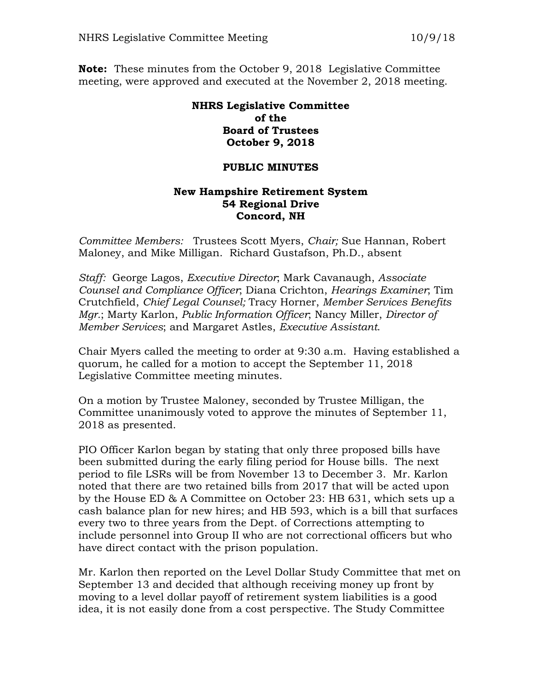**Note:** These minutes from the October 9, 2018 Legislative Committee meeting, were approved and executed at the November 2, 2018 meeting.

## **NHRS Legislative Committee of the Board of Trustees October 9, 2018**

## **PUBLIC MINUTES**

## **New Hampshire Retirement System 54 Regional Drive Concord, NH**

*Committee Members:* Trustees Scott Myers, *Chair;* Sue Hannan, Robert Maloney, and Mike Milligan. Richard Gustafson, Ph.D., absent

*Staff:* George Lagos, *Executive Director*; Mark Cavanaugh, *Associate Counsel and Compliance Officer*; Diana Crichton, *Hearings Examiner*; Tim Crutchfield, *Chief Legal Counsel;* Tracy Horner, *Member Services Benefits Mgr.*; Marty Karlon, *Public Information Officer*; Nancy Miller, *Director of Member Services*; and Margaret Astles, *Executive Assistant*.

Chair Myers called the meeting to order at 9:30 a.m. Having established a quorum, he called for a motion to accept the September 11, 2018 Legislative Committee meeting minutes.

On a motion by Trustee Maloney, seconded by Trustee Milligan, the Committee unanimously voted to approve the minutes of September 11, 2018 as presented.

PIO Officer Karlon began by stating that only three proposed bills have been submitted during the early filing period for House bills. The next period to file LSRs will be from November 13 to December 3. Mr. Karlon noted that there are two retained bills from 2017 that will be acted upon by the House ED & A Committee on October 23: HB 631, which sets up a cash balance plan for new hires; and HB 593, which is a bill that surfaces every two to three years from the Dept. of Corrections attempting to include personnel into Group II who are not correctional officers but who have direct contact with the prison population.

Mr. Karlon then reported on the Level Dollar Study Committee that met on September 13 and decided that although receiving money up front by moving to a level dollar payoff of retirement system liabilities is a good idea, it is not easily done from a cost perspective. The Study Committee